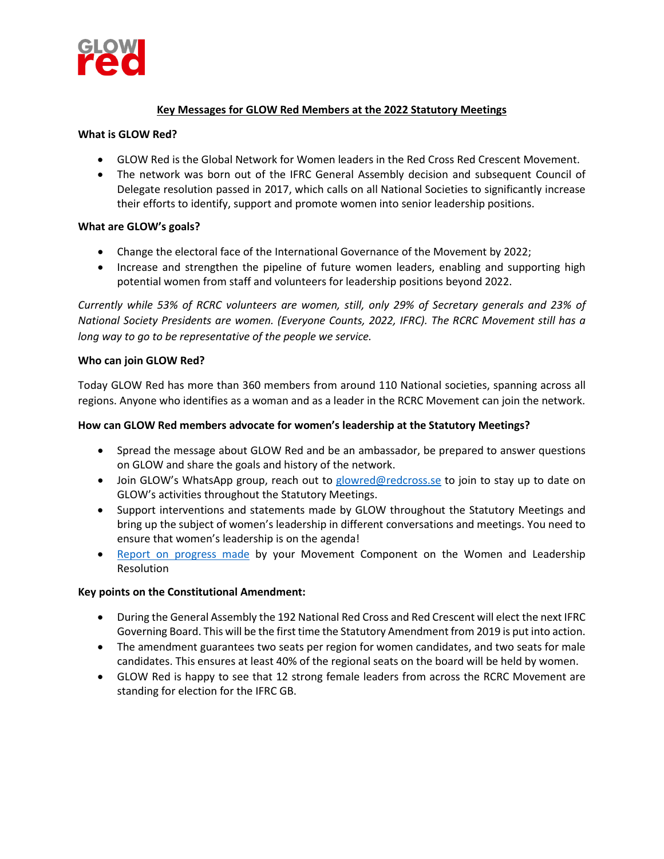

# **Key Messages for GLOW Red Members at the 2022 Statutory Meetings**

### **What is GLOW Red?**

- GLOW Red is the Global Network for Women leaders in the Red Cross Red Crescent Movement.
- The network was born out of the IFRC General Assembly decision and subsequent Council of Delegate resolution passed in 2017, which calls on all National Societies to significantly increase their efforts to identify, support and promote women into senior leadership positions.

### **What are GLOW's goals?**

- Change the electoral face of the International Governance of the Movement by 2022;
- Increase and strengthen the pipeline of future women leaders, enabling and supporting high potential women from staff and volunteers for leadership positions beyond 2022.

*Currently while 53% of RCRC volunteers are women, still, only 29% of Secretary generals and 23% of National Society Presidents are women. (Everyone Counts, 2022, IFRC). The RCRC Movement still has a long way to go to be representative of the people we service.* 

#### **Who can join GLOW Red?**

Today GLOW Red has more than 360 members from around 110 National societies, spanning across all regions. Anyone who identifies as a woman and as a leader in the RCRC Movement can join the network.

### **How can GLOW Red members advocate for women's leadership at the Statutory Meetings?**

- Spread the message about GLOW Red and be an ambassador, be prepared to answer questions on GLOW and share the goals and history of the network.
- Join GLOW's WhatsApp group, reach out to [glowred@redcross.se](mailto:glowred@redcross.se) to join to stay up to date on GLOW's activities throughout the Statutory Meetings.
- Support interventions and statements made by GLOW throughout the Statutory Meetings and bring up the subject of women's leadership in different conversations and meetings. You need to ensure that women's leadership is on the agenda!
- [Report on progress made](https://www.glowred.org/report-on-the-resolution/) by your Movement Component on the Women and Leadership Resolution

#### **Key points on the Constitutional Amendment:**

- During the General Assembly the 192 National Red Cross and Red Crescent will elect the next IFRC Governing Board. This will be the first time the Statutory Amendment from 2019 is put into action.
- The amendment guarantees two seats per region for women candidates, and two seats for male candidates. This ensures at least 40% of the regional seats on the board will be held by women.
- GLOW Red is happy to see that 12 strong female leaders from across the RCRC Movement are standing for election for the IFRC GB.